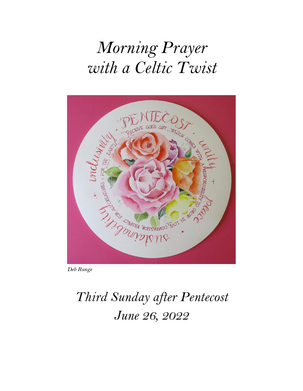# *Morning Prayer with a Celtic Twist*



*Deb Runge*

# *Third Sunday after Pentecost June 26, 2022*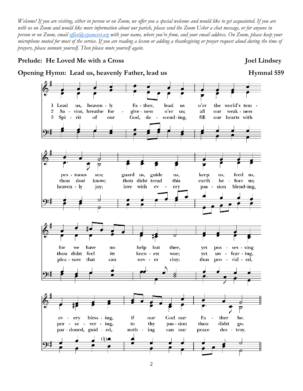*Welcome! If you are visiting, either in person or on Zoom, we offer you a special welcome and would like to get acquainted. If you are with us on Zoom and would like more information about our parish, please send the Zoom Usher a chat message, or for anyone in person or on Zoom, email [office@stjamesvt.org](mailto:office@stjamesvt.org) with your name, where you're from, and your email address. On Zoom, please keep your microphone muted for most of the service. If you are reading a lesson or adding a thanksgiving or prayer request aloud during the time of prayers, please unmute yourself. Then please mute yourself again.*

#### **Prelude:** He Loved Me with a Cross Joel Lindsey

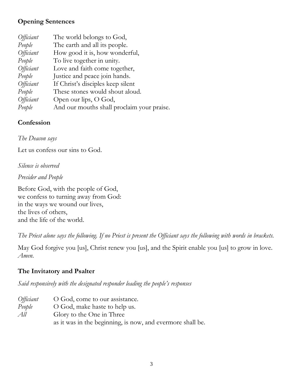# **Opening Sentences**

| <i>Officiant</i> | The world belongs to God,                  |
|------------------|--------------------------------------------|
| People           | The earth and all its people.              |
| <i>Officiant</i> | How good it is, how wonderful,             |
| People           | To live together in unity.                 |
| <i>Officiant</i> | Love and faith come together,              |
| People           | Justice and peace join hands.              |
| <i>Officiant</i> | If Christ's disciples keep silent          |
| People           | These stones would shout aloud.            |
| <i>Officiant</i> | Open our lips, O God,                      |
| People           | And our mouths shall proclaim your praise. |

#### **Confession**

*The Deacon says*

Let us confess our sins to God.

*Silence is observed*

*Presider and People*

Before God, with the people of God, we confess to turning away from God: in the ways we wound our lives, the lives of others, and the life of the world.

*The Priest alone says the following. If no Priest is present the Officiant says the following with words in brackets.*

May God forgive you [us], Christ renew you [us], and the Spirit enable you [us] to grow in love. *Amen*.

# **The Invitatory and Psalter**

*Said responsively with the designated responder leading the people's responses*

| Officiant | O God, come to our assistance.                             |
|-----------|------------------------------------------------------------|
| People    | O God, make haste to help us.                              |
| All       | Glory to the One in Three                                  |
|           | as it was in the beginning, is now, and evermore shall be. |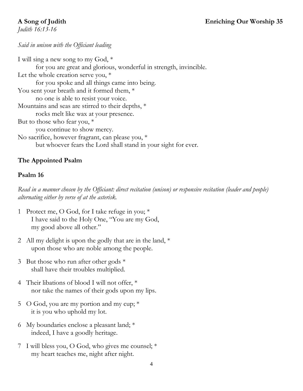*Judith 16:13-16* 

## *Said in unison with the Officiant leading*

I will sing a new song to my God, \* for you are great and glorious, wonderful in strength, invincible. Let the whole creation serve you,  $*$ for you spoke and all things came into being. You sent your breath and it formed them,  $*$ no one is able to resist your voice. Mountains and seas are stirred to their depths, \* rocks melt like wax at your presence. But to those who fear you, \* you continue to show mercy. No sacrifice, however fragrant, can please you, \* but whoever fears the Lord shall stand in your sight for ever.

# **The Appointed Psalm**

## **Psalm 16**

*Read in a manner chosen by the Officiant: direct recitation (unison) or responsive recitation (leader and people) alternating either by verse of at the asterisk.*

- 1 Protect me, O God, for I take refuge in you; \* I have said to the Holy One, "You are my God, my good above all other."
- 2 All my delight is upon the godly that are in the land,  $*$ upon those who are noble among the people.
- 3 But those who run after other gods \* shall have their troubles multiplied.
- 4 Their libations of blood I will not offer, \* nor take the names of their gods upon my lips.
- 5 O God, you are my portion and my cup;  $*$ it is you who uphold my lot.
- 6 My boundaries enclose a pleasant land; \* indeed, I have a goodly heritage.
- 7 I will bless you, O God, who gives me counsel; \* my heart teaches me, night after night.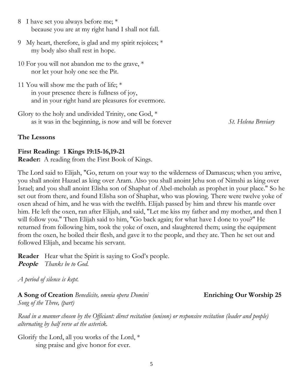- 8 I have set you always before me; \* because you are at my right hand I shall not fall.
- 9 My heart, therefore, is glad and my spirit rejoices; \* my body also shall rest in hope.
- 10 For you will not abandon me to the grave, \* nor let your holy one see the Pit.
- 11 You will show me the path of life; \* in your presence there is fullness of joy, and in your right hand are pleasures for evermore.
- Glory to the holy and undivided Trinity, one God, \* as it was in the beginning, is now and will be forever *St. Helena Breviary*

#### **The Lessons**

#### **First Reading: 1 Kings 19:15-16,19-21**

**Reader:** A reading from the First Book of Kings.

The Lord said to Elijah, "Go, return on your way to the wilderness of Damascus; when you arrive, you shall anoint Hazael as king over Aram. Also you shall anoint Jehu son of Nimshi as king over Israel; and you shall anoint Elisha son of Shaphat of Abel-meholah as prophet in your place." So he set out from there, and found Elisha son of Shaphat, who was plowing. There were twelve yoke of oxen ahead of him, and he was with the twelfth. Elijah passed by him and threw his mantle over him. He left the oxen, ran after Elijah, and said, "Let me kiss my father and my mother, and then I will follow you." Then Elijah said to him, "Go back again; for what have I done to you?" He returned from following him, took the yoke of oxen, and slaughtered them; using the equipment from the oxen, he boiled their flesh, and gave it to the people, and they ate. Then he set out and followed Elijah, and became his servant.

**Reader** Hear what the Spirit is saying to God's people. **People** *Thanks be to God.*

*A period of silence is kept.*

**A Song of Creation** *Benedicite, omnia opera Domini* **Enriching Our Worship 25** *Song of the Three, (part)*

*Read in a manner chosen by the Officiant: direct recitation (unison) or responsive recitation (leader and people) alternating by half verse at the asterisk.*

Glorify the Lord, all you works of the Lord, \* sing praise and give honor for ever.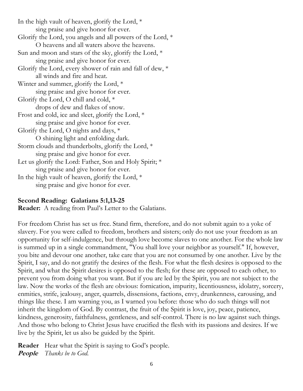In the high vault of heaven, glorify the Lord, \* sing praise and give honor for ever. Glorify the Lord, you angels and all powers of the Lord, \* O heavens and all waters above the heavens. Sun and moon and stars of the sky, glorify the Lord, \* sing praise and give honor for ever. Glorify the Lord, every shower of rain and fall of dew, \* all winds and fire and heat. Winter and summer, glorify the Lord, \* sing praise and give honor for ever. Glorify the Lord, O chill and cold,  $*$ drops of dew and flakes of snow. Frost and cold, ice and sleet, glorify the Lord, \* sing praise and give honor for ever. Glorify the Lord, O nights and days, \* O shining light and enfolding dark. Storm clouds and thunderbolts, glorify the Lord, \* sing praise and give honor for ever. Let us glorify the Lord: Father, Son and Holy Spirit;  $*$ sing praise and give honor for ever. In the high vault of heaven, glorify the Lord, \* sing praise and give honor for ever.

#### **Second Reading: Galatians 5:1,13-25**

**Reader:** A reading from Paul's Letter to the Galatians.

For freedom Christ has set us free. Stand firm, therefore, and do not submit again to a yoke of slavery. For you were called to freedom, brothers and sisters; only do not use your freedom as an opportunity for self-indulgence, but through love become slaves to one another. For the whole law is summed up in a single commandment, "You shall love your neighbor as yourself." If, however, you bite and devour one another, take care that you are not consumed by one another. Live by the Spirit, I say, and do not gratify the desires of the flesh. For what the flesh desires is opposed to the Spirit, and what the Spirit desires is opposed to the flesh; for these are opposed to each other, to prevent you from doing what you want. But if you are led by the Spirit, you are not subject to the law. Now the works of the flesh are obvious: fornication, impurity, licentiousness, idolatry, sorcery, enmities, strife, jealousy, anger, quarrels, dissensions, factions, envy, drunkenness, carousing, and things like these. I am warning you, as I warned you before: those who do such things will not inherit the kingdom of God. By contrast, the fruit of the Spirit is love, joy, peace, patience, kindness, generosity, faithfulness, gentleness, and self-control. There is no law against such things. And those who belong to Christ Jesus have crucified the flesh with its passions and desires. If we live by the Spirit, let us also be guided by the Spirit.

**Reader** Hear what the Spirit is saying to God's people. **People** *Thanks be to God.*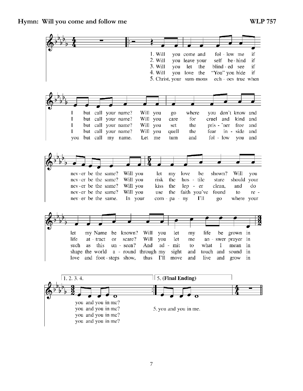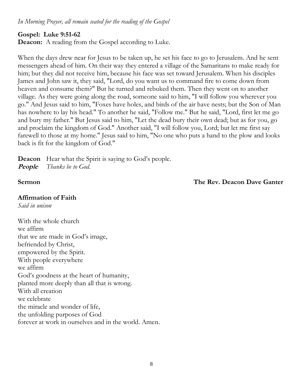#### *In Morning Prayer, all remain seated for the reading of the Gospel*

#### **Gospel: Luke 9:51-62**

**Deacon:** A reading from the Gospel according to Luke.

When the days drew near for Jesus to be taken up, he set his face to go to Jerusalem. And he sent messengers ahead of him. On their way they entered a village of the Samaritans to make ready for him; but they did not receive him, because his face was set toward Jerusalem. When his disciples James and John saw it, they said, "Lord, do you want us to command fire to come down from heaven and consume them?" But he turned and rebuked them. Then they went on to another village. As they were going along the road, someone said to him, "I will follow you wherever you go." And Jesus said to him, "Foxes have holes, and birds of the air have nests; but the Son of Man has nowhere to lay his head." To another he said, "Follow me." But he said, "Lord, first let me go and bury my father." But Jesus said to him, "Let the dead bury their own dead; but as for you, go and proclaim the kingdom of God." Another said, "I will follow you, Lord; but let me first say farewell to those at my home." Jesus said to him, "No one who puts a hand to the plow and looks back is fit for the kingdom of God."

**Deacon** Hear what the Spirit is saying to God's people. **People** *Thanks be to God.*

#### **Sermon** The Rev. Deacon Dave Ganter

#### **Affirmation of Faith**

*Said in unison*

With the whole church we affirm that we are made in God's image, befriended by Christ, empowered by the Spirit. With people everywhere we affirm God's goodness at the heart of humanity, planted more deeply than all that is wrong. With all creation we celebrate the miracle and wonder of life, the unfolding purposes of God forever at work in ourselves and in the world. Amen.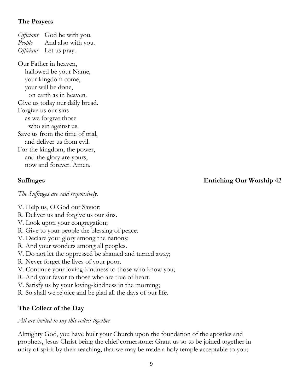# **The Prayers**

*Officiant* God be with you. *People* And also with you. *Officiant* Let us pray.

Our Father in heaven, hallowed be your Name, your kingdom come, your will be done, on earth as in heaven. Give us today our daily bread. Forgive us our sins as we forgive those who sin against us. Save us from the time of trial, and deliver us from evil. For the kingdom, the power, and the glory are yours, now and forever. Amen.

# **Suffrages Enriching Our Worship 42**

*The Suffrages are said responsively.*

- V. Help us, O God our Savior;
- R. Deliver us and forgive us our sins.
- V. Look upon your congregation;
- R. Give to your people the blessing of peace.
- V. Declare your glory among the nations;
- R. And your wonders among all peoples.
- V. Do not let the oppressed be shamed and turned away;
- R. Never forget the lives of your poor.
- V. Continue your loving-kindness to those who know you;
- R. And your favor to those who are true of heart.
- V. Satisfy us by your loving-kindness in the morning;
- R. So shall we rejoice and be glad all the days of our life.

# **The Collect of the Day**

# *All are invited to say this collect together*

Almighty God, you have built your Church upon the foundation of the apostles and prophets, Jesus Christ being the chief cornerstone: Grant us so to be joined together in unity of spirit by their teaching, that we may be made a holy temple acceptable to you;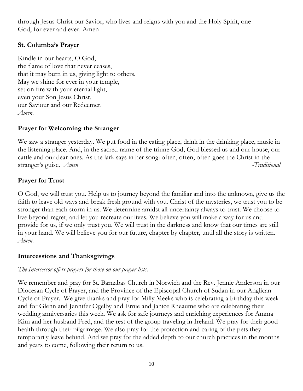through Jesus Christ our Savior, who lives and reigns with you and the Holy Spirit, one God, for ever and ever. Amen

## **St. Columba's Prayer**

Kindle in our hearts, O God, the flame of love that never ceases, that it may burn in us, giving light to others. May we shine for ever in your temple, set on fire with your eternal light, even your Son Jesus Christ, our Saviour and our Redeemer. *Amen.*

# **Prayer for Welcoming the Stranger**

We saw a stranger yesterday. We put food in the eating place, drink in the drinking place, music in the listening place. And, in the sacred name of the triune God, God blessed us and our house, our cattle and our dear ones. As the lark says in her song: often, often, often goes the Christ in the stranger's guise. *Amen* - Traditional

# **Prayer for Trust**

O God, we will trust you. Help us to journey beyond the familiar and into the unknown, give us the faith to leave old ways and break fresh ground with you. Christ of the mysteries, we trust you to be stronger than each storm in us. We determine amidst all uncertainty always to trust. We choose to live beyond regret, and let you recreate our lives. We believe you will make a way for us and provide for us, if we only trust you. We will trust in the darkness and know that our times are still in your hand. We will believe you for our future, chapter by chapter, until all the story is written. *Amen.*

#### **Intercessions and Thanksgivings**

# *The Intercessor offers prayers for those on our prayer lists.*

We remember and pray for St. Barnabas Church in Norwich and the Rev. Jennie Anderson in our Diocesan Cycle of Prayer, and the Province of the Episcopal Church of Sudan in our Anglican Cycle of Prayer. We give thanks and pray for Milly Meeks who is celebrating a birthday this week and for Glenn and Jennifer Ogelby and Ernie and Janice Rheaume who are celebrating their wedding anniversaries this week. We ask for safe journeys and enriching experiences for Amma Kim and her husband Fred, and the rest of the group traveling in Ireland. We pray for their good health through their pilgrimage. We also pray for the protection and caring of the pets they temporarily leave behind. And we pray for the added depth to our church practices in the months and years to come, following their return to us.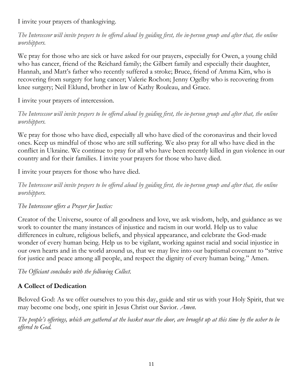I invite your prayers of thanksgiving.

*The Intercessor will invite prayers to be offered aloud by guiding first, the in-person group and after that, the online worshippers.*

We pray for those who are sick or have asked for our prayers, especially for Owen, a young child who has cancer, friend of the Reichard family; the Gilbert family and especially their daughter, Hannah, and Matt's father who recently suffered a stroke; Bruce, friend of Amma Kim, who is recovering from surgery for lung cancer; Valerie Rochon; Jenny Ogelby who is recovering from knee surgery; Neil Eklund, brother in law of Kathy Rouleau, and Grace.

I invite your prayers of intercession.

*The Intercessor will invite prayers to be offered aloud by guiding first, the in-person group and after that, the online worshippers.*

We pray for those who have died, especially all who have died of the coronavirus and their loved ones. Keep us mindful of those who are still suffering. We also pray for all who have died in the conflict in Ukraine. We continue to pray for all who have been recently killed in gun violence in our country and for their families. I invite your prayers for those who have died.

I invite your prayers for those who have died.

*The Intercessor will invite prayers to be offered aloud by guiding first, the in-person group and after that, the online worshippers.*

# *The Intercessor offers a Prayer for Justice:*

Creator of the Universe, source of all goodness and love, we ask wisdom, help, and guidance as we work to counter the many instances of injustice and racism in our world. Help us to value differences in culture, religious beliefs, and physical appearance, and celebrate the God-made wonder of every human being. Help us to be vigilant, working against racial and social injustice in our own hearts and in the world around us, that we may live into our baptismal covenant to "strive for justice and peace among all people, and respect the dignity of every human being." Amen.

*The Officiant concludes with the following Collect.*

# **A Collect of Dedication**

Beloved God: As we offer ourselves to you this day, guide and stir us with your Holy Spirit, that we may become one body, one spirit in Jesus Christ our Savior. *Amen*.

*The people's offerings, which are gathered at the basket near the door, are brought up at this time by the usher to be offered to God.*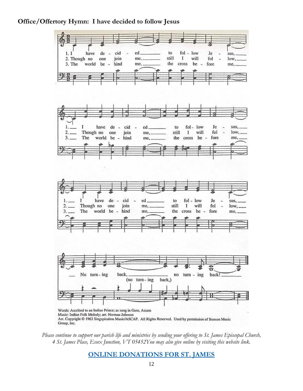#### **Office/Offertory Hymn: I have decided to follow Jesus**



*Please continue to support our parish life and ministries by sending your offering to St. James Episcopal Church, 4 St. James Place, Essex Junction, VT 05452You may also give online by visiting this website link.* 

#### **[ONLINE DONATIONS FOR ST. JAMES](https://www.stjamesvt.org/giving)**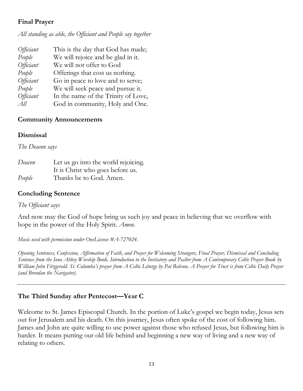# **Final Prayer**

*All standing as able, the Officiant and People say together*

| <i>Officiant</i> | This is the day that God has made;  |
|------------------|-------------------------------------|
| People           | We will rejoice and be glad in it.  |
| <i>Officiant</i> | We will not offer to God            |
| People           | Offerings that cost us nothing.     |
| <i>Officiant</i> | Go in peace to love and to serve;   |
| People           | We will seek peace and pursue it.   |
| <i>Officiant</i> | In the name of the Trinity of Love, |
| All              | God in community, Holy and One.     |

# **Community Announcements**

# **Dismissal**

*The Deacon says* 

| Deacon | Let us go into the world rejoicing. |
|--------|-------------------------------------|
|        | It is Christ who goes before us.    |
| People | Thanks be to God. Amen.             |

# **Concluding Sentence**

# *The Officiant says*

And now may the God of hope bring us such joy and peace in believing that we overflow with hope in the power of the Holy Spirit. *Amen.*

*Music used with permission under OneLicense #A-727024.* 

*Opening Sentences, Confession, Affirmation of Faith, and Prayer for Welcoming Strangers, Final Prayer, Dismissal and Concluding Sentence from the Iona Abbey Worship Book. Introduction to the Invitatory and Psalter from A Contemporary Celtic Prayer Book by William John Fitzgerald. St. Columba's prayer from A Celtic Liturgy by Pat Robson, A Prayer for Trust is from Celtic Daily Prayer (and Brendan the Navigator).*

# **The Third Sunday after Pentecost—Year C**

Welcome to St. James Episcopal Church. In the portion of Luke's gospel we begin today, Jesus sets out for Jerusalem and his death. On this journey, Jesus often spoke of the cost of following him. James and John are quite willing to use power against those who refused Jesus, but following him is harder. It means putting our old life behind and beginning a new way of living and a new way of relating to others.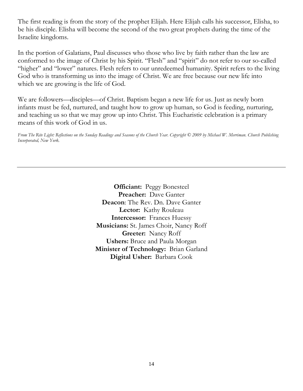The first reading is from the story of the prophet Elijah. Here Elijah calls his successor, Elisha, to be his disciple. Elisha will become the second of the two great prophets during the time of the Israelite kingdoms.

In the portion of Galatians, Paul discusses who those who live by faith rather than the law are conformed to the image of Christ by his Spirit. "Flesh" and "spirit" do not refer to our so-called "higher" and "lower" natures. Flesh refers to our unredeemed humanity. Spirit refers to the living God who is transforming us into the image of Christ. We are free because our new life into which we are growing is the life of God.

We are followers—disciples—of Christ. Baptism began a new life for us. Just as newly born infants must be fed, nurtured, and taught how to grow up human, so God is feeding, nurturing, and teaching us so that we may grow up into Christ. This Eucharistic celebration is a primary means of this work of God in us.

*From The Rite Light: Reflections on the Sunday Readings and Seasons of the Church Year. Copyright © 2009 by Michael W. Merriman. Church Publishing Incorporated, New York.*

> **Officiant:** Peggy Bonesteel **Preacher:** Dave Ganter **Deacon**: The Rev. Dn. Dave Ganter **Lector:** Kathy Rouleau **Intercessor:** Frances Huessy **Musicians:** St. James Choir, Nancy Roff **Greeter:** Nancy Roff **Ushers:** Bruce and Paula Morgan **Minister of Technology:** Brian Garland **Digital Usher:** Barbara Cook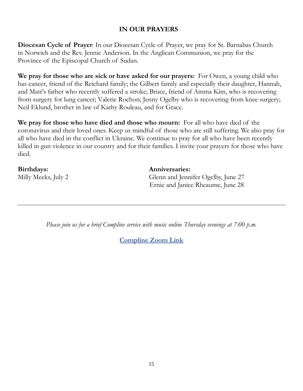## **IN OUR PRAYERS**

**Diocesan Cycle of Prayer**: In our Diocesan Cycle of Prayer, we pray for St. Barnabas Church in Norwich and the Rev. Jennie Anderson. In the Anglican Communion, we pray for the Province of the Episcopal Church of Sudan.

**We pray for those who are sick or have asked for our prayers:** For Owen, a young child who has cancer, friend of the Reichard family; the Gilbert family and especially their daughter, Hannah, and Matt's father who recently suffered a stroke; Bruce, friend of Amma Kim, who is recovering from surgery for lung cancer; Valerie Rochon; Jenny Ogelby who is recovering from knee surgery; Neil Eklund, brother in law of Kathy Rouleau, and for Grace.

**We pray for those who have died and those who mourn:** For all who have died of the coronavirus and their loved ones. Keep us mindful of those who are still suffering. We also pray for all who have died in the conflict in Ukraine. We continue to pray for all who have been recently killed in gun violence in our country and for their families. I invite your prayers for those who have died.

**Birthdays: Anniversaries:**

Milly Meeks, July 2 Glenn and Jennifer Ogelby, June 27 Ernie and Janice Rheaume, June 28

*Please join us for a brief Compline service with music online Thursday evenings at 7:00 p.m.*

**[Compline Zoom Link](https://us02web.zoom.us/j/259841906?pwd=MjkxZ1F1VzAxNzVzOVREMzNta0Jkdz09)**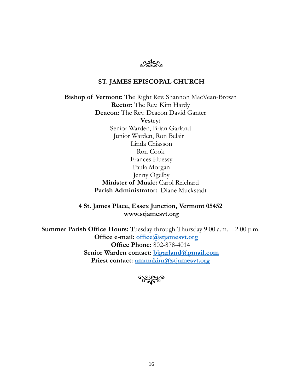

#### **ST. JAMES EPISCOPAL CHURCH**

**Bishop of Vermont:** The Right Rev. Shannon MacVean-Brown **Rector:** The Rev. Kim Hardy **Deacon:** The Rev. Deacon David Ganter **Vestry:** Senior Warden, Brian Garland Junior Warden, Ron Belair Linda Chiasson Ron Cook Frances Huessy Paula Morgan Jenny Ogelby **Minister of Music:** Carol Reichard **Parish Administrator:** Diane Muckstadt

**4 St. James Place, Essex Junction, Vermont 05452 www.stjamesvt.org**

**Summer Parish Office Hours:** Tuesday through Thursday 9:00 a.m. – 2:00 p.m. **Office e-mail: [office@stjamesvt.org](mailto:office@stjamesvt.org)  Office Phone:** 802-878-4014 **Senior Warden contact: [bjgarland@gmail.com](mailto:bjgarland@gmail.com) Priest contact: [ammakim@stjamesvt.org](mailto:ammakim@stjamesvt.org)**